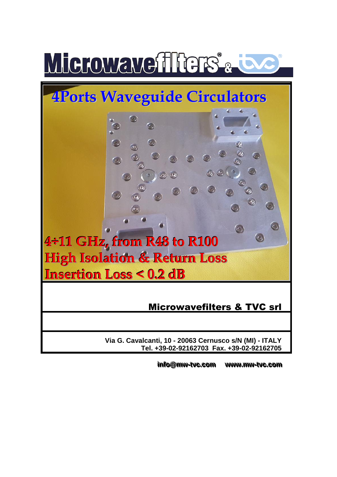



**Via G. Cavalcanti, 10 - 20063 Cernusco s/N (MI) - ITALY Tel. +39-02-92162703 Fax. +39-02-92162705**

> info@mw-tvc. **..ccoomm wwwwww. ..mmww--ttvvcc. ..ccoomm**